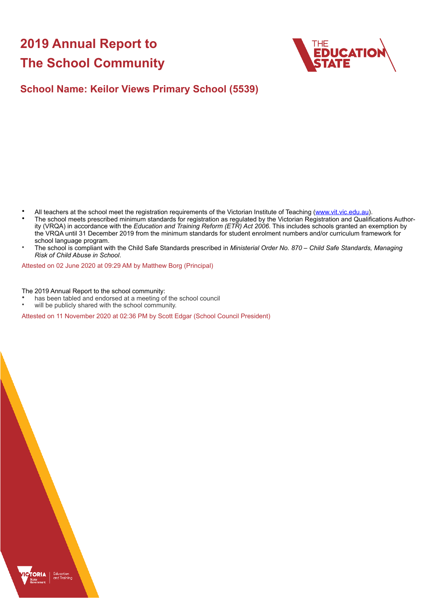# **2019 Annual Report to The School Community**



# **School Name: Keilor Views Primary School (5539)**

- All teachers at the school meet the registration requirements of the Victorian Institute of Teaching ([www.vit.vic.edu.au\)](https://www.vit.vic.edu.au/).
- The school meets prescribed minimum standards for registration as regulated by the Victorian Registration and Qualifications Authority (VRQA) in accordance with the *Education and Training Reform (ETR) Act 2006*. This includes schools granted an exemption by the VRQA until 31 December 2019 from the minimum standards for student enrolment numbers and/or curriculum framework for school language program.
- The school is compliant with the Child Safe Standards prescribed in *Ministerial Order No. 870 Child Safe Standards, Managing Risk of Child Abuse in School*.

Attested on 02 June 2020 at 09:29 AM by Matthew Borg (Principal)

The 2019 Annual Report to the school community:

- has been tabled and endorsed at a meeting of the school council
- will be publicly shared with the school community.

Attested on 11 November 2020 at 02:36 PM by Scott Edgar (School Council President)

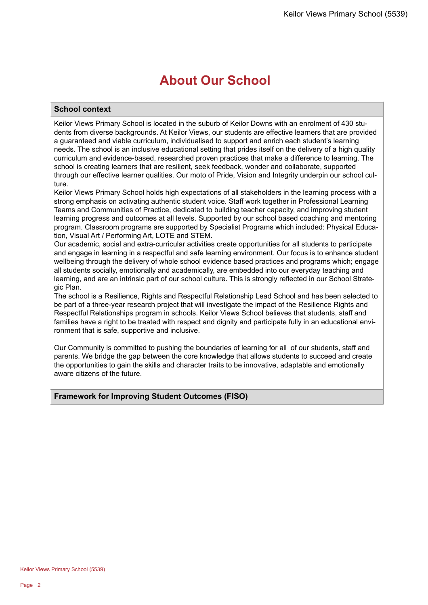# **About Our School**

#### **School context**

Keilor Views Primary School is located in the suburb of Keilor Downs with an enrolment of 430 students from diverse backgrounds. At Keilor Views, our students are effective learners that are provided a guaranteed and viable curriculum, individualised to support and enrich each student's learning needs. The school is an inclusive educational setting that prides itself on the delivery of a high quality curriculum and evidence-based, researched proven practices that make a difference to learning. The school is creating learners that are resilient, seek feedback, wonder and collaborate, supported through our effective learner qualities. Our moto of Pride, Vision and Integrity underpin our school culture.

Keilor Views Primary School holds high expectations of all stakeholders in the learning process with a strong emphasis on activating authentic student voice. Staff work together in Professional Learning Teams and Communities of Practice, dedicated to building teacher capacity, and improving student learning progress and outcomes at all levels. Supported by our school based coaching and mentoring program. Classroom programs are supported by Specialist Programs which included: Physical Education, Visual Art / Performing Art, LOTE and STEM.

Our academic, social and extra-curricular activities create opportunities for all students to participate and engage in learning in a respectful and safe learning environment. Our focus is to enhance student wellbeing through the delivery of whole school evidence based practices and programs which; engage all students socially, emotionally and academically, are embedded into our everyday teaching and learning, and are an intrinsic part of our school culture. This is strongly reflected in our School Strategic Plan.

The school is a Resilience, Rights and Respectful Relationship Lead School and has been selected to be part of a three-year research project that will investigate the impact of the Resilience Rights and Respectful Relationships program in schools. Keilor Views School believes that students, staff and families have a right to be treated with respect and dignity and participate fully in an educational environment that is safe, supportive and inclusive.

Our Community is committed to pushing the boundaries of learning for all of our students, staff and parents. We bridge the gap between the core knowledge that allows students to succeed and create the opportunities to gain the skills and character traits to be innovative, adaptable and emotionally aware citizens of the future.

## **Framework for Improving Student Outcomes (FISO)**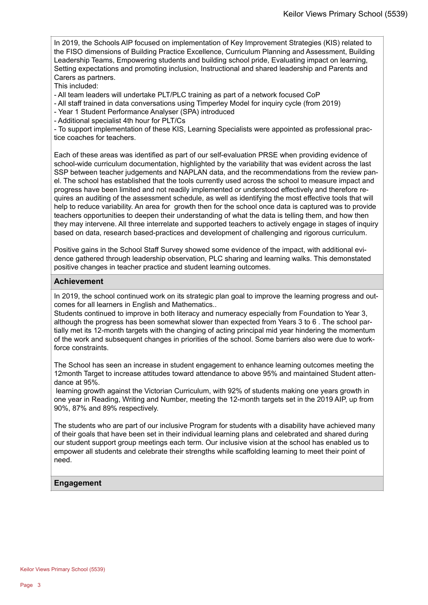In 2019, the Schools AIP focused on implementation of Key Improvement Strategies (KIS) related to the FISO dimensions of Building Practice Excellence, Curriculum Planning and Assessment, Building Leadership Teams, Empowering students and building school pride, Evaluating impact on learning, Setting expectations and promoting inclusion, Instructional and shared leadership and Parents and Carers as partners.

This included:

- All team leaders will undertake PLT/PLC training as part of a network focused CoP

- All staff trained in data conversations using Timperley Model for inquiry cycle (from 2019)

- Year 1 Student Performance Analyser (SPA) introduced

- Additional specialist 4th hour for PLT/Cs

- To support implementation of these KIS, Learning Specialists were appointed as professional practice coaches for teachers.

Each of these areas was identified as part of our self-evaluation PRSE when providing evidence of school-wide curriculum documentation, highlighted by the variability that was evident across the last SSP between teacher judgements and NAPLAN data, and the recommendations from the review panel. The school has established that the tools currently used across the school to measure impact and progress have been limited and not readily implemented or understood effectively and therefore requires an auditing of the assessment schedule, as well as identifying the most effective tools that will help to reduce variability. An area for growth then for the school once data is captured was to provide teachers opportunities to deepen their understanding of what the data is telling them, and how then they may intervene. All three interrelate and supported teachers to actively engage in stages of inquiry based on data, research based-practices and development of challenging and rigorous curriculum.

Positive gains in the School Staff Survey showed some evidence of the impact, with additional evidence gathered through leadership observation, PLC sharing and learning walks. This demonstated positive changes in teacher practice and student learning outcomes.

## **Achievement**

In 2019, the school continued work on its strategic plan goal to improve the learning progress and outcomes for all learners in English and Mathematics..

Students continued to improve in both literacy and numeracy especially from Foundation to Year 3, although the progress has been somewhat slower than expected from Years 3 to 6 . The school partially met its 12-month targets with the changing of acting principal mid year hindering the momentum of the work and subsequent changes in priorities of the school. Some barriers also were due to workforce constraints.

The School has seen an increase in student engagement to enhance learning outcomes meeting the 12month Target to increase attitudes toward attendance to above 95% and maintained Student attendance at 95%.

 learning growth against the Victorian Curriculum, with 92% of students making one years growth in one year in Reading, Writing and Number, meeting the 12-month targets set in the 2019 AIP, up from 90%, 87% and 89% respectively.

The students who are part of our inclusive Program for students with a disability have achieved many of their goals that have been set in their individual learning plans and celebrated and shared during our student support group meetings each term. Our inclusive vision at the school has enabled us to empower all students and celebrate their strengths while scaffolding learning to meet their point of need.

## **Engagement**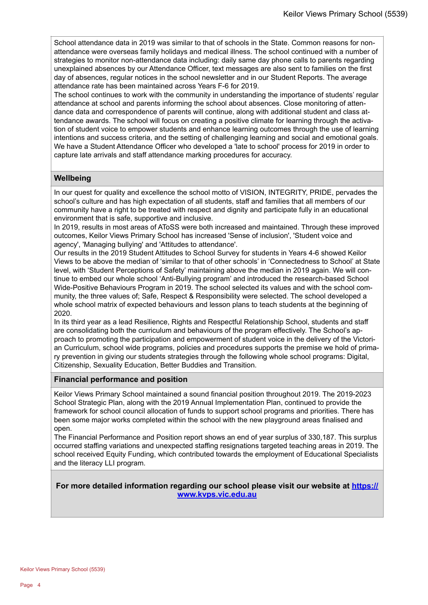School attendance data in 2019 was similar to that of schools in the State. Common reasons for nonattendance were overseas family holidays and medical illness. The school continued with a number of strategies to monitor non-attendance data including: daily same day phone calls to parents regarding unexplained absences by our Attendance Officer, text messages are also sent to families on the first day of absences, regular notices in the school newsletter and in our Student Reports. The average attendance rate has been maintained across Years F-6 for 2019.

The school continues to work with the community in understanding the importance of students' regular attendance at school and parents informing the school about absences. Close monitoring of attendance data and correspondence of parents will continue, along with additional student and class attendance awards. The school will focus on creating a positive climate for learning through the activation of student voice to empower students and enhance learning outcomes through the use of learning intentions and success criteria, and the setting of challenging learning and social and emotional goals. We have a Student Attendance Officer who developed a 'late to school' process for 2019 in order to capture late arrivals and staff attendance marking procedures for accuracy.

# **Wellbeing**

In our quest for quality and excellence the school motto of VISION, INTEGRITY, PRIDE, pervades the school's culture and has high expectation of all students, staff and families that all members of our community have a right to be treated with respect and dignity and participate fully in an educational environment that is safe, supportive and inclusive.

In 2019, results in most areas of AToSS were both increased and maintained. Through these improved outcomes, Keilor Views Primary School has increased 'Sense of inclusion', 'Student voice and agency', 'Managing bullying' and 'Attitudes to attendance'.

Our results in the 2019 Student Attitudes to School Survey for students in Years 4-6 showed Keilor Views to be above the median of 'similar to that of other schools' in 'Connectedness to School' at State level, with 'Student Perceptions of Safety' maintaining above the median in 2019 again. We will continue to embed our whole school 'Anti-Bullying program' and introduced the research-based School Wide-Positive Behaviours Program in 2019. The school selected its values and with the school community, the three values of; Safe, Respect & Responsibility were selected. The school developed a whole school matrix of expected behaviours and lesson plans to teach students at the beginning of 2020.

In its third year as a lead Resilience, Rights and Respectful Relationship School, students and staff are consolidating both the curriculum and behaviours of the program effectively. The School's approach to promoting the participation and empowerment of student voice in the delivery of the Victorian Curriculum, school wide programs, policies and procedures supports the premise we hold of primary prevention in giving our students strategies through the following whole school programs: Digital, Citizenship, Sexuality Education, Better Buddies and Transition.

## **Financial performance and position**

Keilor Views Primary School maintained a sound financial position throughout 2019. The 2019-2023 School Strategic Plan, along with the 2019 Annual Implementation Plan, continued to provide the framework for school council allocation of funds to support school programs and priorities. There has been some major works completed within the school with the new playground areas finalised and open.

The Financial Performance and Position report shows an end of year surplus of 330,187. This surplus occurred staffing variations and unexpected staffing resignations targeted teaching areas in 2019. The school received Equity Funding, which contributed towards the employment of Educational Specialists and the literacy LLI program.

# **For more detailed information r[egarding our school please visit our website at https://](https://www.kvps.vic.edu.au) www.kvps.vic.edu.au**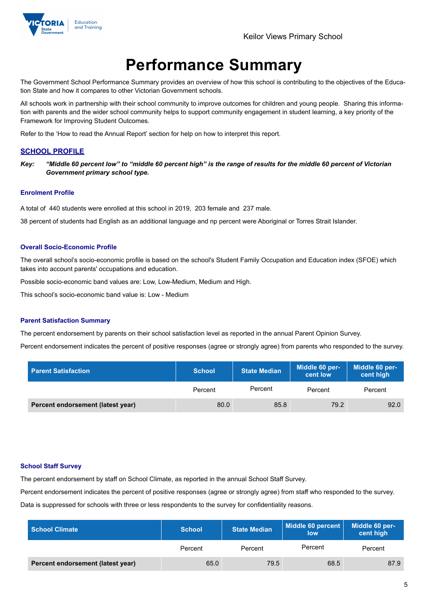

# **Performance Summary**

The Government School Performance Summary provides an overview of how this school is contributing to the objectives of the Education State and how it compares to other Victorian Government schools.

All schools work in partnership with their school community to improve outcomes for children and young people. Sharing this information with parents and the wider school community helps to support community engagement in student learning, a key priority of the Framework for Improving Student Outcomes.

Refer to the 'How to read the Annual Report' section for help on how to interpret this report.

## **SCHOOL PROFILE**

*Key: "Middle 60 percent low" to "middle 60 percent high" is the range of results for the middle 60 percent of Victorian Government primary school type.* 

#### **Enrolment Profile**

A total of 440 students were enrolled at this school in 2019, 203 female and 237 male.

38 percent of students had English as an additional language and np percent were Aboriginal or Torres Strait Islander.

#### **Overall Socio-Economic Profile**

The overall school's socio-economic profile is based on the school's Student Family Occupation and Education index (SFOE) which takes into account parents' occupations and education.

Possible socio-economic band values are: Low, Low-Medium, Medium and High.

This school's socio-economic band value is: Low - Medium

#### **Parent Satisfaction Summary**

The percent endorsement by parents on their school satisfaction level as reported in the annual Parent Opinion Survey.

Percent endorsement indicates the percent of positive responses (agree or strongly agree) from parents who responded to the survey.

| <b>Parent Satisfaction</b>        | <b>School</b> | <b>State Median</b> | Middle 60 per-<br>cent low | Middle 60 per-<br>cent high |
|-----------------------------------|---------------|---------------------|----------------------------|-----------------------------|
|                                   | Percent       | Percent             | Percent                    | Percent                     |
| Percent endorsement (latest year) | 80.0          | 85.8                | 79.2                       | 92.0                        |

#### **School Staff Survey**

The percent endorsement by staff on School Climate, as reported in the annual School Staff Survey.

Percent endorsement indicates the percent of positive responses (agree or strongly agree) from staff who responded to the survey.

Data is suppressed for schools with three or less respondents to the survey for confidentiality reasons.

| <b>School Climate</b>             | <b>School</b> | <b>State Median</b> | Middle 60 percent  <br>low | Middle 60 per-<br>cent high |
|-----------------------------------|---------------|---------------------|----------------------------|-----------------------------|
|                                   | Percent       | Percent             | Percent                    | Percent                     |
| Percent endorsement (latest year) | 65.0          | 79.5                | 68.5                       | 87.9                        |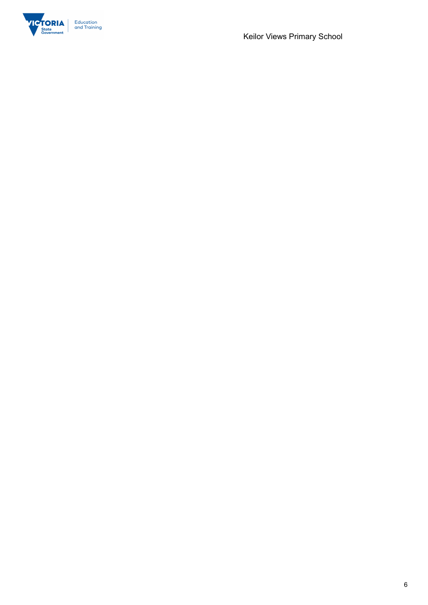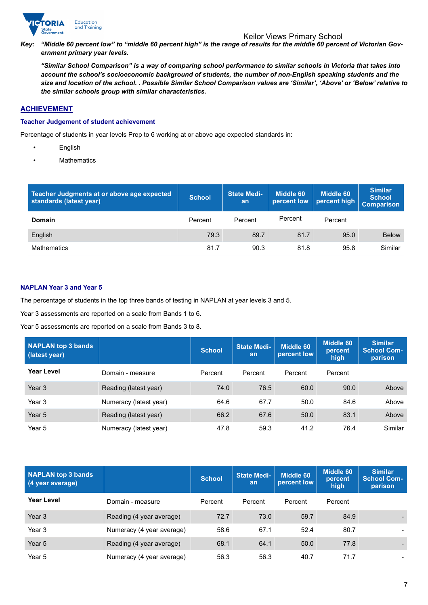

*Key: "Middle 60 percent low" to "middle 60 percent high" is the range of results for the middle 60 percent of Victorian Government primary year levels.* 

*"Similar School Comparison" is a way of comparing school performance to similar schools in Victoria that takes into account the school's socioeconomic background of students, the number of non-English speaking students and the size and location of the school. . Possible Similar School Comparison values are 'Similar', 'Above' or 'Below' relative to the similar schools group with similar characteristics.* 

# **ACHIEVEMENT**

# **Teacher Judgement of student achievement**

Percentage of students in year levels Prep to 6 working at or above age expected standards in:

- English
- Mathematics

| Teacher Judgments at or above age expected<br>standards (latest year) | <b>School</b> | <b>State Medi-</b><br>an | <b>Middle 60</b><br>percent low | <b>Middle 60</b><br>percent high | <b>Similar</b><br><b>School</b><br><b>Comparison</b> |
|-----------------------------------------------------------------------|---------------|--------------------------|---------------------------------|----------------------------------|------------------------------------------------------|
| Domain                                                                | Percent       | Percent                  | Percent                         | Percent                          |                                                      |
| English                                                               | 79.3          | 89.7                     | 81.7                            | 95.0                             | <b>Below</b>                                         |
| <b>Mathematics</b>                                                    | 81.7          | 90.3                     | 81.8                            | 95.8                             | Similar                                              |

#### **NAPLAN Year 3 and Year 5**

The percentage of students in the top three bands of testing in NAPLAN at year levels 3 and 5.

Year 3 assessments are reported on a scale from Bands 1 to 6.

Year 5 assessments are reported on a scale from Bands 3 to 8.

| <b>NAPLAN top 3 bands</b><br>(latest year) |                        | <b>School</b> | <b>State Medi-</b><br>an | <b>Middle 60</b><br>percent low | <b>Middle 60</b><br>percent<br>high | <b>Similar</b><br><b>School Com-</b><br>parison |
|--------------------------------------------|------------------------|---------------|--------------------------|---------------------------------|-------------------------------------|-------------------------------------------------|
| <b>Year Level</b>                          | Domain - measure       | Percent       | Percent                  | Percent                         | Percent                             |                                                 |
| Year 3                                     | Reading (latest year)  | 74.0          | 76.5                     | 60.0                            | 90.0                                | Above                                           |
| Year 3                                     | Numeracy (latest year) | 64.6          | 67.7                     | 50.0                            | 84.6                                | Above                                           |
| Year 5                                     | Reading (latest year)  | 66.2          | 67.6                     | 50.0                            | 83.1                                | Above                                           |
| Year 5                                     | Numeracy (latest year) | 47.8          | 59.3                     | 41.2                            | 76.4                                | Similar                                         |

| NAPLAN top 3 bands<br>(4 year average) |                           | <b>School</b> | <b>State Medi-</b><br><b>an</b> | <b>Middle 60</b><br>percent low | <b>Middle 60</b><br>percent<br>high | <b>Similar</b><br><b>School Com-</b><br>parison |
|----------------------------------------|---------------------------|---------------|---------------------------------|---------------------------------|-------------------------------------|-------------------------------------------------|
| Year Level                             | Domain - measure          | Percent       | Percent                         | Percent                         | Percent                             |                                                 |
| Year 3                                 | Reading (4 year average)  | 72.7          | 73.0                            | 59.7                            | 84.9                                |                                                 |
| Year 3                                 | Numeracy (4 year average) | 58.6          | 67.1                            | 52.4                            | 80.7                                |                                                 |
| Year 5                                 | Reading (4 year average)  | 68.1          | 64.1                            | 50.0                            | 77.8                                |                                                 |
| Year 5                                 | Numeracy (4 year average) | 56.3          | 56.3                            | 40.7                            | 71.7                                |                                                 |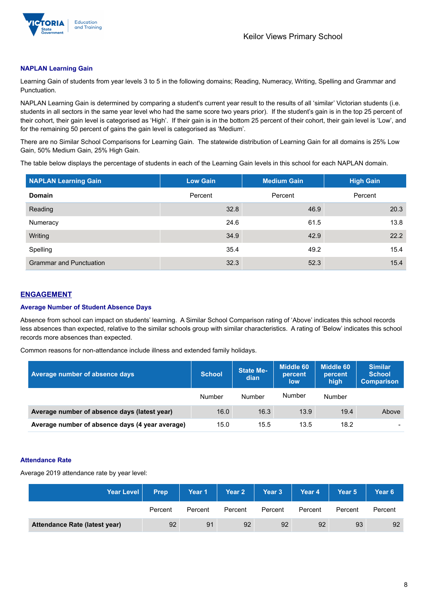

## **NAPLAN Learning Gain**

Learning Gain of students from year levels 3 to 5 in the following domains; Reading, Numeracy, Writing, Spelling and Grammar and Punctuation.

NAPLAN Learning Gain is determined by comparing a student's current year result to the results of all 'similar' Victorian students (i.e. students in all sectors in the same year level who had the same score two years prior). If the student's gain is in the top 25 percent of their cohort, their gain level is categorised as 'High'. If their gain is in the bottom 25 percent of their cohort, their gain level is 'Low', and for the remaining 50 percent of gains the gain level is categorised as 'Medium'.

There are no Similar School Comparisons for Learning Gain. The statewide distribution of Learning Gain for all domains is 25% Low Gain, 50% Medium Gain, 25% High Gain.

The table below displays the percentage of students in each of the Learning Gain levels in this school for each NAPLAN domain.

| <b>NAPLAN Learning Gain</b>    | <b>Low Gain</b> | <b>Medium Gain</b> | <b>High Gain</b> |
|--------------------------------|-----------------|--------------------|------------------|
| <b>Domain</b>                  | Percent         | Percent            | Percent          |
| Reading                        | 32.8            | 46.9               | 20.3             |
| Numeracy                       | 24.6            | 61.5               | 13.8             |
| Writing                        | 34.9            | 42.9               | 22.2             |
| Spelling                       | 35.4            | 49.2               | 15.4             |
| <b>Grammar and Punctuation</b> | 32.3            | 52.3               | 15.4             |

# **ENGAGEMENT**

#### **Average Number of Student Absence Days**

Absence from school can impact on students' learning. A Similar School Comparison rating of 'Above' indicates this school records less absences than expected, relative to the similar schools group with similar characteristics. A rating of 'Below' indicates this school records more absences than expected.

Common reasons for non-attendance include illness and extended family holidays.

| Average number of absence days                  | <b>School</b> | State Me-<br>dian | <b>Middle 60</b><br>percent<br><b>low</b> | Middle 60<br>percent<br>high | <b>Similar</b><br><b>School</b><br><b>Comparison</b> |
|-------------------------------------------------|---------------|-------------------|-------------------------------------------|------------------------------|------------------------------------------------------|
|                                                 | Number        | Number            | Number                                    | Number                       |                                                      |
| Average number of absence days (latest year)    | 16.0          | 16.3              | 13.9                                      | 19.4                         | Above                                                |
| Average number of absence days (4 year average) | 15.0          | 15.5              | 13.5                                      | 18.2                         |                                                      |

#### **Attendance Rate**

Average 2019 attendance rate by year level:

| Year Level                    | <b>Prep</b> | Year 1  | Year 2  | Year 3  | Year 4  | Year 5  | Year <sub>6</sub> |
|-------------------------------|-------------|---------|---------|---------|---------|---------|-------------------|
|                               | Percent     | Percent | Percent | Percent | Percent | Percent | Percent           |
| Attendance Rate (latest year) | 92          | 91      | 92      | 92      | 92      | 93      | 92                |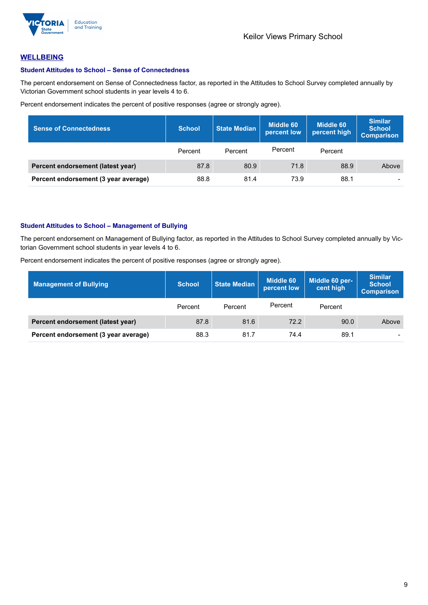

# **WELLBEING**

# **Student Attitudes to School – Sense of Connectedness**

The percent endorsement on Sense of Connectedness factor, as reported in the Attitudes to School Survey completed annually by Victorian Government school students in year levels 4 to 6.

Percent endorsement indicates the percent of positive responses (agree or strongly agree).

| <b>Sense of Connectedness</b>        | <b>School</b> | <b>State Median</b> | <b>Middle 60</b><br>percent low | <b>Middle 60</b><br>percent high | <b>Similar</b><br><b>School</b><br><b>Comparison</b> |
|--------------------------------------|---------------|---------------------|---------------------------------|----------------------------------|------------------------------------------------------|
|                                      | Percent       | Percent             | Percent                         | Percent                          |                                                      |
| Percent endorsement (latest year)    | 87.8          | 80.9                | 71.8                            | 88.9                             | Above                                                |
| Percent endorsement (3 year average) | 88.8          | 81.4                | 73.9                            | 88.1                             |                                                      |

#### **Student Attitudes to School – Management of Bullying**

The percent endorsement on Management of Bullying factor, as reported in the Attitudes to School Survey completed annually by Victorian Government school students in year levels 4 to 6.

Percent endorsement indicates the percent of positive responses (agree or strongly agree).

| <b>Management of Bullying</b>        | <b>School</b> | <b>State Median</b> | Middle 60<br>percent low | Middle 60 per-<br>cent high | <b>Similar</b><br><b>School</b><br><b>Comparison</b> |
|--------------------------------------|---------------|---------------------|--------------------------|-----------------------------|------------------------------------------------------|
|                                      | Percent       | Percent             | Percent                  | Percent                     |                                                      |
| Percent endorsement (latest year)    | 87.8          | 81.6                | 72.2                     | 90.0                        | Above                                                |
| Percent endorsement (3 year average) | 88.3          | 81.7                | 74.4                     | 89.1                        |                                                      |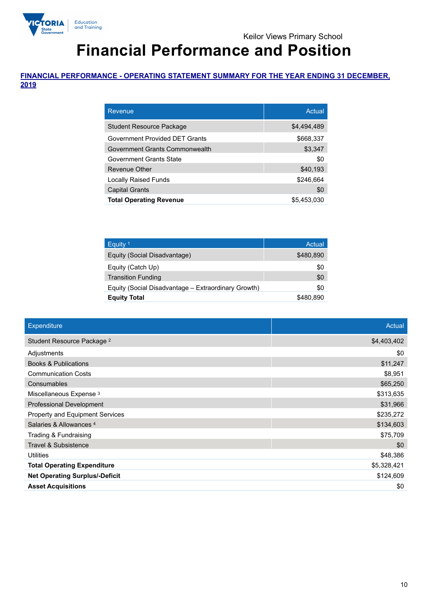

# **Financial Performance and Position**

# **FINANCIAL PERFORMANCE - OPERATING STATEMENT SUMMARY FOR THE YEAR ENDING 31 DECEMBER, 2019**

| Revenue                         | Actual      |
|---------------------------------|-------------|
| <b>Student Resource Package</b> | \$4,494,489 |
| Government Provided DET Grants  | \$668,337   |
| Government Grants Commonwealth  | \$3,347     |
| <b>Government Grants State</b>  | \$0         |
| Revenue Other                   | \$40,193    |
| Locally Raised Funds            | \$246,664   |
| <b>Capital Grants</b>           | \$0         |
| <b>Total Operating Revenue</b>  | \$5.453.030 |

| Equity $1$                                          | Actual    |
|-----------------------------------------------------|-----------|
| Equity (Social Disadvantage)                        | \$480,890 |
| Equity (Catch Up)                                   | \$0       |
| <b>Transition Funding</b>                           | \$0       |
| Equity (Social Disadvantage – Extraordinary Growth) | \$0       |
| <b>Equity Total</b>                                 | \$480.890 |
|                                                     |           |

| <b>Expenditure</b>                    | Actual      |
|---------------------------------------|-------------|
| Student Resource Package 2            | \$4,403,402 |
| Adjustments                           | \$0         |
| Books & Publications                  | \$11,247    |
| <b>Communication Costs</b>            | \$8,951     |
| Consumables                           | \$65,250    |
| Miscellaneous Expense 3               | \$313,635   |
| Professional Development              | \$31,966    |
| Property and Equipment Services       | \$235,272   |
| Salaries & Allowances 4               | \$134,603   |
| Trading & Fundraising                 | \$75,709    |
| <b>Travel &amp; Subsistence</b>       | \$0         |
| Utilities                             | \$48,386    |
| <b>Total Operating Expenditure</b>    | \$5,328,421 |
| <b>Net Operating Surplus/-Deficit</b> | \$124,609   |
| <b>Asset Acquisitions</b>             | \$0         |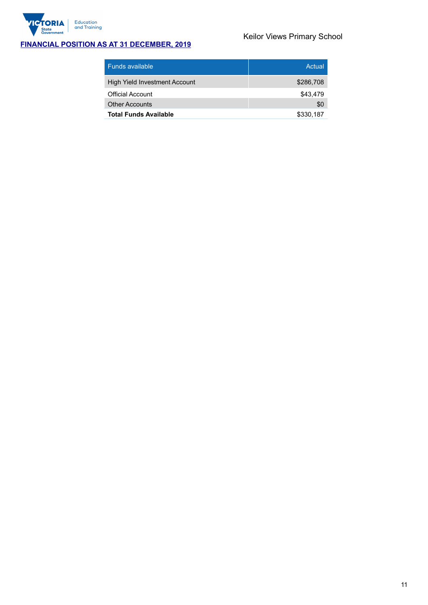

# **FINANCIAL POSITION AS AT 31 DECEMBER, 2019**

| <b>Funds available</b>        | Actual    |
|-------------------------------|-----------|
| High Yield Investment Account | \$286,708 |
| <b>Official Account</b>       | \$43.479  |
| <b>Other Accounts</b>         | \$0       |
| <b>Total Funds Available</b>  | \$330,187 |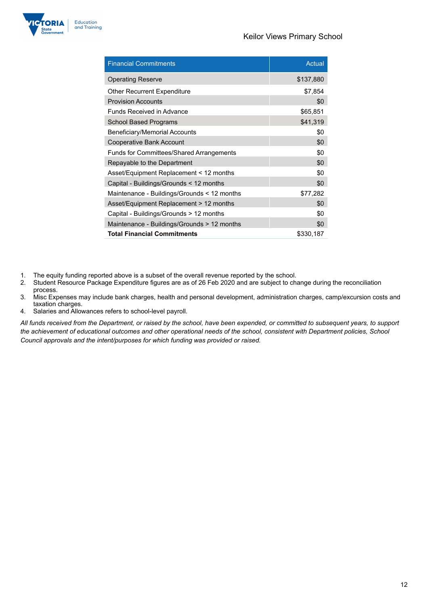

| <b>Financial Commitments</b>                    | Actual    |
|-------------------------------------------------|-----------|
| <b>Operating Reserve</b>                        | \$137,880 |
| <b>Other Recurrent Expenditure</b>              | \$7,854   |
| <b>Provision Accounts</b>                       | \$0       |
| <b>Funds Received in Advance</b>                | \$65,851  |
| School Based Programs                           | \$41,319  |
| Beneficiary/Memorial Accounts                   | \$0       |
| Cooperative Bank Account                        | \$0       |
| <b>Funds for Committees/Shared Arrangements</b> | \$0       |
| Repayable to the Department                     | \$0       |
| Asset/Equipment Replacement < 12 months         | \$0       |
| Capital - Buildings/Grounds < 12 months         | \$0       |
| Maintenance - Buildings/Grounds < 12 months     | \$77,282  |
| Asset/Equipment Replacement > 12 months         | \$0       |
| Capital - Buildings/Grounds > 12 months         | \$0       |
| Maintenance - Buildings/Grounds > 12 months     | \$0       |
| <b>Total Financial Commitments</b>              | \$330,187 |

- 1. The equity funding reported above is a subset of the overall revenue reported by the school.<br>2. Student Resource Package Expenditure figures are as of 26 Feb 2020 and are subject to ch
- Student Resource Package Expenditure figures are as of 26 Feb 2020 and are subject to change during the reconciliation process.
- 3. Misc Expenses may include bank charges, health and personal development, administration charges, camp/excursion costs and taxation charges.
- 4. Salaries and Allowances refers to school-level payroll.

*All funds received from the Department, or raised by the school, have been expended, or committed to subsequent years, to support the achievement of educational outcomes and other operational needs of the school, consistent with Department policies, School Council approvals and the intent/purposes for which funding was provided or raised.*